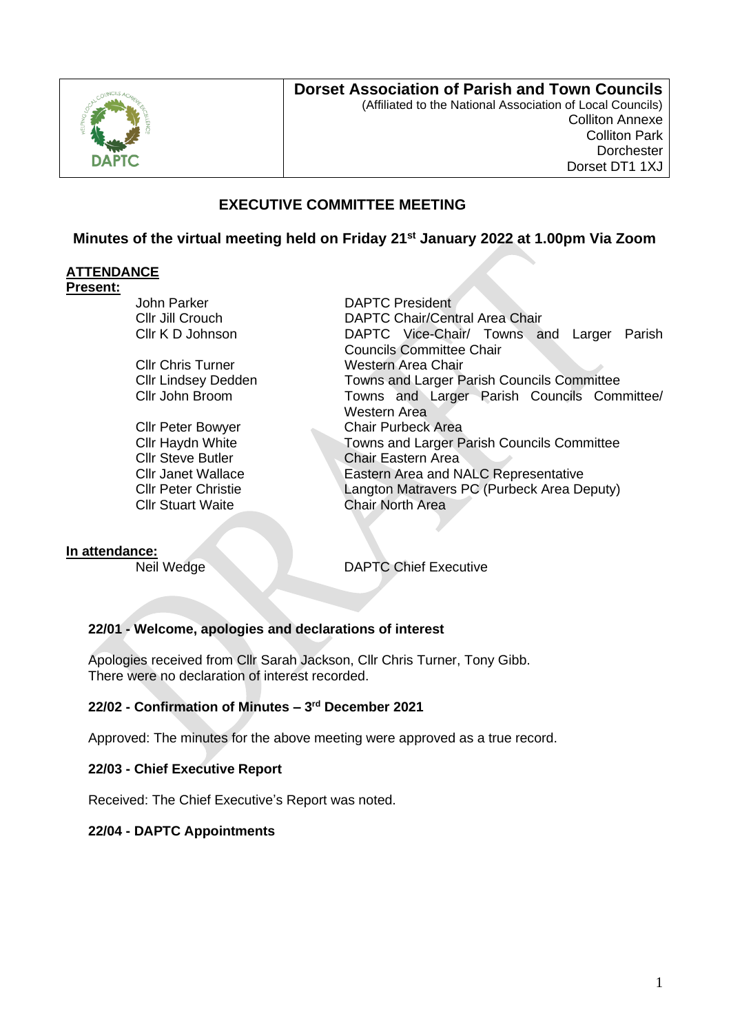

## **Dorset Association of Parish and Town Councils**

(Affiliated to the National Association of Local Councils) Colliton Annexe Colliton Park **Dorchester** Dorset DT1 1XJ

## **EXECUTIVE COMMITTEE MEETING**

**Minutes of the virtual meeting held on Friday 21st January 2022 at 1.00pm Via Zoom** 

### **ATTENDANCE**

#### **Present:**

John Parker **DAPTC** President

Cllr Stuart Waite Chair North Area

Cllr Jill Crouch DAPTC Chair/Central Area Chair Cllr K D Johnson DAPTC Vice-Chair/ Towns and Larger Parish Councils Committee Chair Cllr Chris Turner Western Area Chair Cllr Lindsey Dedden Towns and Larger Parish Councils Committee Cllr John Broom Towns and Larger Parish Councils Committee/ Western Area Cllr Peter Bowyer Chair Purbeck Area Cllr Haydn White Towns and Larger Parish Councils Committee **Cllr Steve Butler Chair Eastern Area** Cllr Janet Wallace **Eastern Area and NALC Representative** Cllr Peter Christie Langton Matravers PC (Purbeck Area Deputy)

### **In attendance:**

Neil Wedge DAPTC Chief Executive

### **22/01 - Welcome, apologies and declarations of interest**

Apologies received from Cllr Sarah Jackson, Cllr Chris Turner, Tony Gibb. There were no declaration of interest recorded.

### **22/02 - Confirmation of Minutes – 3 rd December 2021**

Approved: The minutes for the above meeting were approved as a true record.

### **22/03 - Chief Executive Report**

Received: The Chief Executive's Report was noted.

### **22/04 - DAPTC Appointments**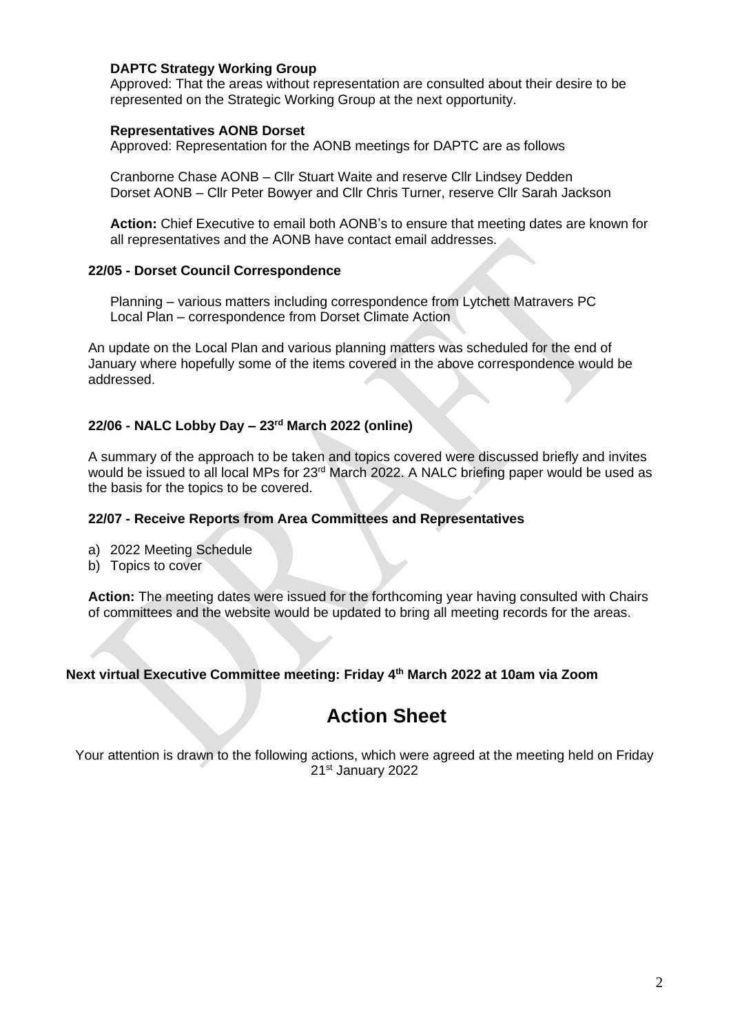### **DAPTC Strategy Working Group**

Approved: That the areas without representation are consulted about their desire to be represented on the Strategic Working Group at the next opportunity.

#### **Representatives AONB Dorset**

Approved: Representation for the AONB meetings for DAPTC are as follows

Cranborne Chase AONB – Cllr Stuart Waite and reserve Cllr Lindsey Dedden Dorset AONB – Cllr Peter Bowyer and Cllr Chris Turner, reserve Cllr Sarah Jackson

**Action:** Chief Executive to email both AONB's to ensure that meeting dates are known for all representatives and the AONB have contact email addresses.

### **22/05 - Dorset Council Correspondence**

Planning – various matters including correspondence from Lytchett Matravers PC Local Plan – correspondence from Dorset Climate Action

An update on the Local Plan and various planning matters was scheduled for the end of January where hopefully some of the items covered in the above correspondence would be addressed.

## **22/06 - NALC Lobby Day – 23rd March 2022 (online)**

A summary of the approach to be taken and topics covered were discussed briefly and invites would be issued to all local MPs for 23rd March 2022. A NALC briefing paper would be used as the basis for the topics to be covered.

#### **22/07 - Receive Reports from Area Committees and Representatives**

- a) 2022 Meeting Schedule
- b) Topics to cover

**Action:** The meeting dates were issued for the forthcoming year having consulted with Chairs of committees and the website would be updated to bring all meeting records for the areas.

### **Next virtual Executive Committee meeting: Friday 4 th March 2022 at 10am via Zoom**

# **Action Sheet**

Your attention is drawn to the following actions, which were agreed at the meeting held on Friday 21st January 2022